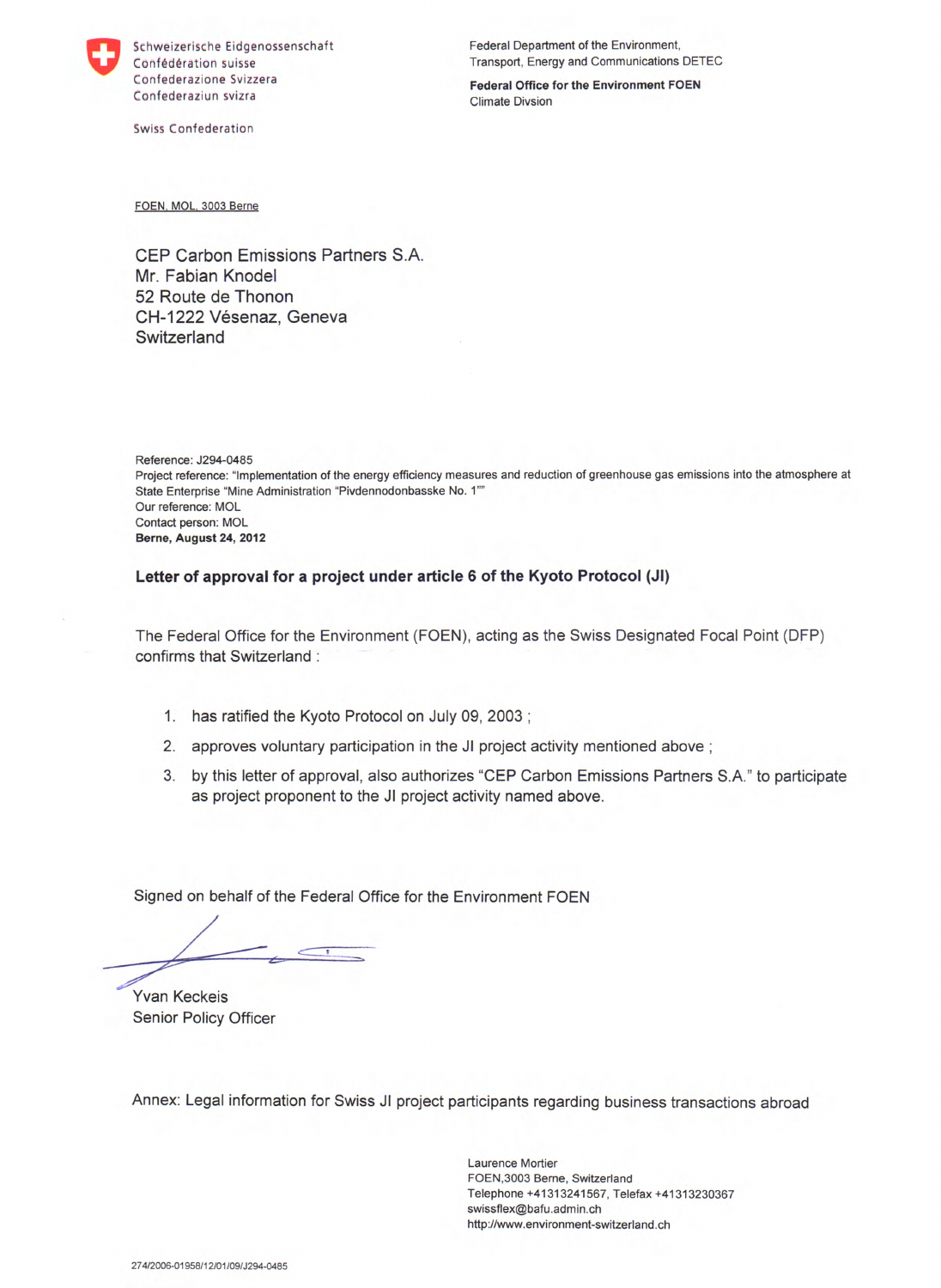

Schweizerische Eidgenossenschaft Confédération suisse Confederazione Svizzera Confederaziun svizra

Swiss Confederation

Federal Department of the Environment, Transport, Energy and Communications DETEC

Federal Office for the Environment FOEN Climate Divsion

FOEN, MOL, 3003 Berne

CEP Carbon Emissions Partners S.A. Mr. Fabian Knodel 52 Route de Thonon CH-1222 Vésenaz, Geneva **Switzerland** 

Reference: J294-0485 Project reference: "Implementation of the energy efficiency measures and reduction of greenhouse gas emissions into the atmosphere at State Enterprise "Mine Administration "Pivdennodonbasske No. 1" Our reference: MOL Contact person: MOL **Berne, August 24, 2012** 

**Letter of approval for a project under article 6 of the Kyoto Protocol (JI)** 

The Federal Office for the Environment (FOEN), acting as the Swiss Designated Focal Point (DFP) confirms that Switzerland:

- 1. has ratified the Kyoto Protocol on July 09, 2003;
- 2. approves voluntary participation in the JI project activity mentioned above;
- 3. by this letter of approval, also authorizes "CEP Carbon Emissions Partners S.A." to participate as project proponent to the JI project activity named above.

Signed on behalf of the Federal Office for the Environment FOEN

Yvan Keckeis Senior Policy Officer

Annex: Legal information for Swiss JI project participants regarding business transactions abroad

Laurence Mortier FOEN,3003 Berne, Switzerland Telephone +41313241567, Telefax +41313230367 swissflex@bafu.admin.ch http://www.environment-switzerland.ch